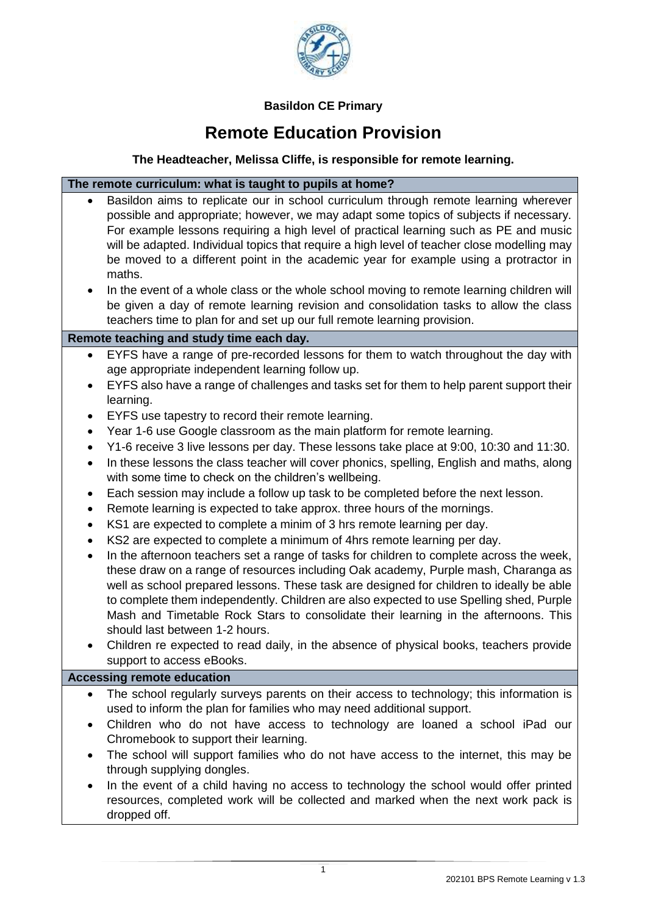

# **Basildon CE Primary**

# **Remote Education Provision**

# **The Headteacher, Melissa Cliffe, is responsible for remote learning.**

# **The remote curriculum: what is taught to pupils at home?**

- Basildon aims to replicate our in school curriculum through remote learning wherever possible and appropriate; however, we may adapt some topics of subjects if necessary. For example lessons requiring a high level of practical learning such as PE and music will be adapted. Individual topics that require a high level of teacher close modelling may be moved to a different point in the academic year for example using a protractor in maths.
- In the event of a whole class or the whole school moving to remote learning children will be given a day of remote learning revision and consolidation tasks to allow the class teachers time to plan for and set up our full remote learning provision.

## **Remote teaching and study time each day.**

- EYFS have a range of pre-recorded lessons for them to watch throughout the day with age appropriate independent learning follow up.
- EYFS also have a range of challenges and tasks set for them to help parent support their learning.
- EYFS use tapestry to record their remote learning.
- Year 1-6 use Google classroom as the main platform for remote learning.
- Y1-6 receive 3 live lessons per day. These lessons take place at 9:00, 10:30 and 11:30.
- In these lessons the class teacher will cover phonics, spelling, English and maths, along with some time to check on the children's wellbeing.
- Each session may include a follow up task to be completed before the next lesson.
- Remote learning is expected to take approx. three hours of the mornings.
- KS1 are expected to complete a minim of 3 hrs remote learning per day.
- KS2 are expected to complete a minimum of 4hrs remote learning per day.
- In the afternoon teachers set a range of tasks for children to complete across the week, these draw on a range of resources including Oak academy, Purple mash, Charanga as well as school prepared lessons. These task are designed for children to ideally be able to complete them independently. Children are also expected to use Spelling shed, Purple Mash and Timetable Rock Stars to consolidate their learning in the afternoons. This should last between 1-2 hours.
- Children re expected to read daily, in the absence of physical books, teachers provide support to access eBooks.

#### **Accessing remote education**

- The school regularly surveys parents on their access to technology; this information is used to inform the plan for families who may need additional support.
- Children who do not have access to technology are loaned a school iPad our Chromebook to support their learning.
- The school will support families who do not have access to the internet, this may be through supplying dongles.
- In the event of a child having no access to technology the school would offer printed resources, completed work will be collected and marked when the next work pack is dropped off.